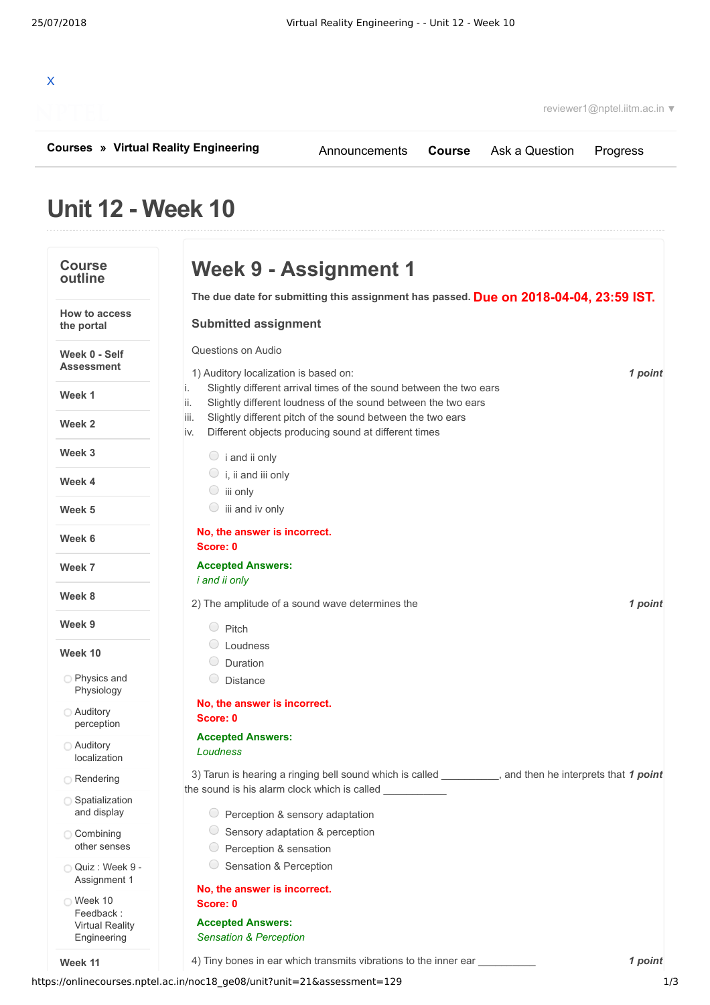| x |                                |  |  |  |
|---|--------------------------------|--|--|--|
|   | <b><i>CONTRACTOR</i></b><br>J) |  |  |  |

**[Courses](https://onlinecourses.nptel.ac.in/) » [Virtual Reality Engineering](https://onlinecourses.nptel.ac.in/noc18_ge08/course)**

[Announcements](https://onlinecourses.nptel.ac.in/noc18_ge08/announcements) **[Course](https://onlinecourses.nptel.ac.in/noc18_ge08/course)** [Ask a Question](https://onlinecourses.nptel.ac.in/noc18_ge08/forum) [Progress](https://onlinecourses.nptel.ac.in/noc18_ge08/student/home)

# **Unit 12 - Week 10**

| <b>Course</b><br>outline              | Week 9 - Assignment 1                                                                                                                           |
|---------------------------------------|-------------------------------------------------------------------------------------------------------------------------------------------------|
|                                       | The due date for submitting this assignment has passed. Due on 2018-04-04, 23:59 IST.                                                           |
| <b>How to access</b><br>the portal    | <b>Submitted assignment</b>                                                                                                                     |
| Week 0 - Self                         | Questions on Audio                                                                                                                              |
| Assessment                            | 1) Auditory localization is based on:<br>1 point<br>Slightly different arrival times of the sound between the two ears<br>i.                    |
| Week 1                                | ii.<br>Slightly different loudness of the sound between the two ears                                                                            |
| Week 2                                | Slightly different pitch of the sound between the two ears<br>iii.<br>Different objects producing sound at different times<br>İV.               |
| Week 3                                | $\circ$ i and ii only                                                                                                                           |
| Week 4                                | $\circ$ i, ii and iii only<br>$\circ$ iii only                                                                                                  |
| Week <sub>5</sub>                     | iii and iv only<br>$\cup$                                                                                                                       |
| Week 6                                | No, the answer is incorrect.<br>Score: 0                                                                                                        |
| Week 7                                | <b>Accepted Answers:</b>                                                                                                                        |
| Week 8                                | <i>i</i> and <i>ii</i> only<br>1 point<br>2) The amplitude of a sound wave determines the                                                       |
| Week 9                                | $\bigcirc$ Pitch                                                                                                                                |
| Week 10                               | Loudness                                                                                                                                        |
| <b>Physics and</b>                    | Duration                                                                                                                                        |
| Physiology                            | <b>Distance</b>                                                                                                                                 |
| <b>Auditory</b>                       | No, the answer is incorrect.<br>Score: 0                                                                                                        |
| perception                            | <b>Accepted Answers:</b>                                                                                                                        |
| <b>Auditory</b><br>localization       | Loudness                                                                                                                                        |
| Rendering                             | 3) Tarun is hearing a ringing bell sound which is called<br>and then he interprets that 1 point<br>the sound is his alarm clock which is called |
| ◯ Spatialization<br>and display       |                                                                                                                                                 |
|                                       | $\circ$ Perception & sensory adaptation<br>Sensory adaptation & perception                                                                      |
| Combining<br>other senses             | Perception & sensation                                                                                                                          |
| Quiz : Week 9 -<br>Assignment 1       | Sensation & Perception                                                                                                                          |
| ◯ Week 10                             | No, the answer is incorrect.                                                                                                                    |
| Feedback:                             | Score: 0                                                                                                                                        |
| <b>Virtual Reality</b><br>Engineering | <b>Accepted Answers:</b><br><b>Sensation &amp; Perception</b>                                                                                   |
| Week 11                               | 4) Tiny bones in ear which transmits vibrations to the inner ear __________<br>1 point                                                          |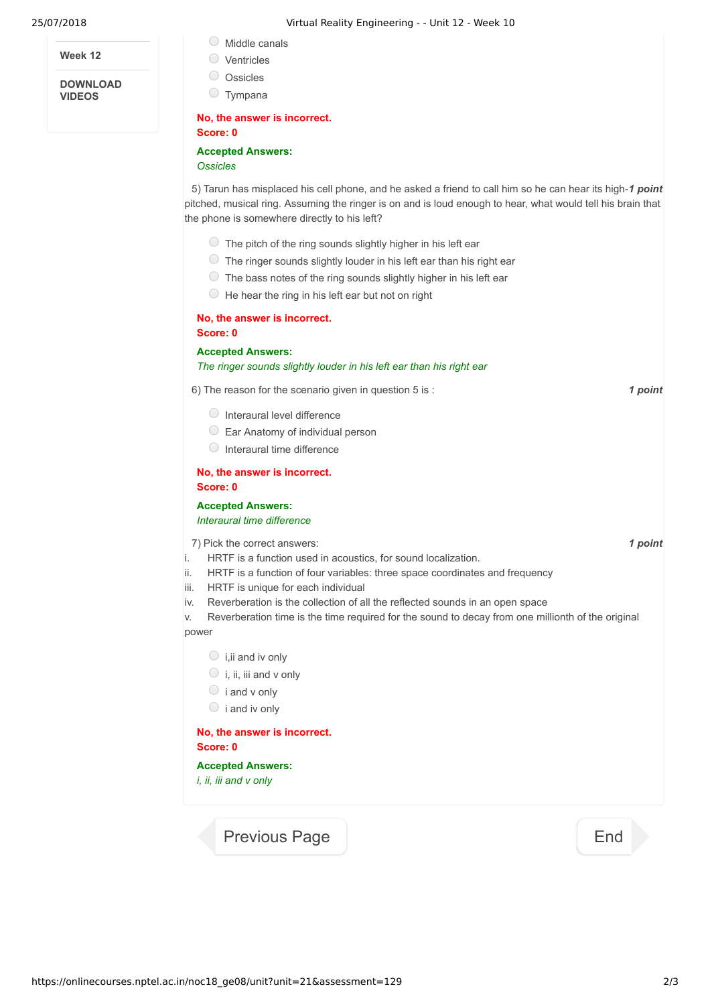**Week 12**

**DOWNLOAD VIDEOS**

- Middle canals
- Ventricles
- O Ossicles
- Tympana

#### **No, the answer is incorrect. Score: 0**

## **Accepted Answers:**

*Ossicles*

5) Tarun has misplaced his cell phone, and he asked a friend to call him so he can hear its high-1 point pitched, musical ring. Assuming the ringer is on and is loud enough to hear, what would tell his brain that the phone is somewhere directly to his left?

- $\circ$  The pitch of the ring sounds slightly higher in his left ear
- $\circlearrowright$  The ringer sounds slightly louder in his left ear than his right ear
- $\circ$  The bass notes of the ring sounds slightly higher in his left ear
- $\bigcirc$  He hear the ring in his left ear but not on right

#### **No, the answer is incorrect. Score: 0**

**Accepted Answers:**

*The ringer sounds slightly louder in his left ear than his right ear*

6) *1 point* The reason for the scenario given in question 5 is :

- $\bigcirc$  Interaural level difference
- Ear Anatomy of individual person
- $\circ$  Interaural time difference

### **No, the answer is incorrect. Score: 0**

### **Accepted Answers:** *Interaural time difference*

7) *1 point* Pick the correct answers:

- i. HRTF is a function used in acoustics, for sound localization.
- ii. HRTF is a function of four variables: three space coordinates and frequency
- iii. HRTF is unique for each individual
- iv. Reverberation is the collection of all the reflected sounds in an open space

v. Reverberation time is the time required for the sound to decay from one millionth of the original power

- $\bigcirc$  i, ii and iv only
- $\bigcirc$  i, ii, iii and v only
- $\circ$  i and v only
- $\circ$  i and iv only

# **No, the answer is incorrect. Score: 0**

**Accepted Answers:** *i, ii, iii and v only*

[Previous Page](https://onlinecourses.nptel.ac.in/noc18_ge08/unit?unit=21&lesson=152) **[End](https://onlinecourses.nptel.ac.in/noc18_ge08/course)**